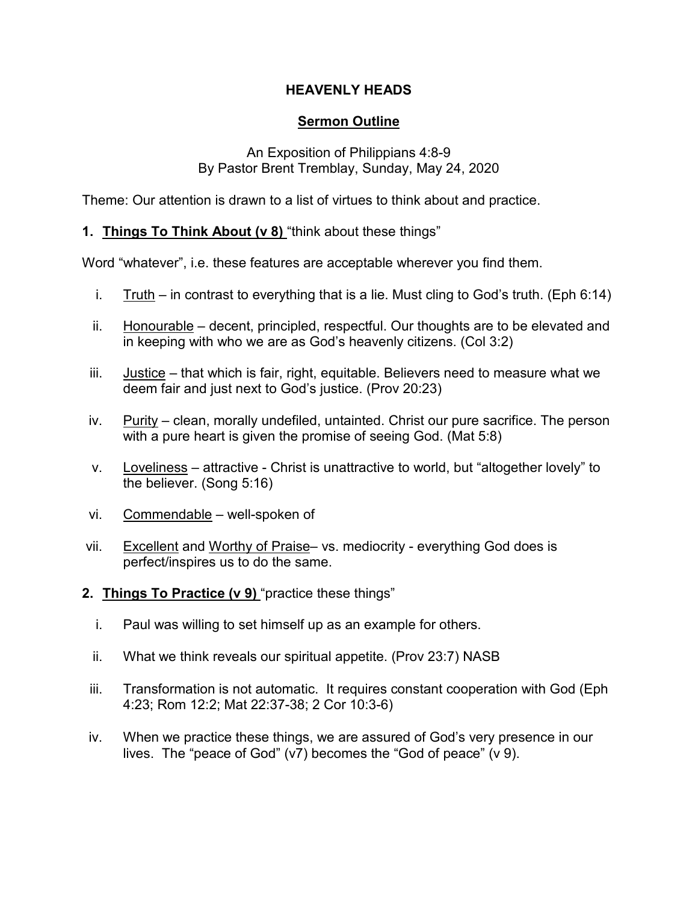# **HEAVENLY HEADS**

# **Sermon Outline**

#### An Exposition of Philippians 4:8-9 By Pastor Brent Tremblay, Sunday, May 24, 2020

Theme: Our attention is drawn to a list of virtues to think about and practice.

### **1. Things To Think About (v 8)** "think about these things"

Word "whatever", i.e. these features are acceptable wherever you find them.

- i. Truth in contrast to everything that is a lie. Must cling to God's truth. (Eph 6:14)
- ii. Honourable decent, principled, respectful. Our thoughts are to be elevated and in keeping with who we are as God's heavenly citizens. (Col 3:2)
- iii. Justice that which is fair, right, equitable. Believers need to measure what we deem fair and just next to God's justice. (Prov 20:23)
- iv. Purity clean, morally undefiled, untainted. Christ our pure sacrifice. The person with a pure heart is given the promise of seeing God. (Mat 5:8)
- v. Loveliness attractive Christ is unattractive to world, but "altogether lovely" to the believer. (Song 5:16)
- vi. Commendable well-spoken of
- vii. Excellent and Worthy of Praise– vs. mediocrity everything God does is perfect/inspires us to do the same.
- **2. Things To Practice (v 9)** "practice these things"
	- i. Paul was willing to set himself up as an example for others.
	- ii. What we think reveals our spiritual appetite. (Prov 23:7) NASB
- iii. Transformation is not automatic. It requires constant cooperation with God (Eph 4:23; Rom 12:2; Mat 22:37-38; 2 Cor 10:3-6)
- iv. When we practice these things, we are assured of God's very presence in our lives. The "peace of God" (v7) becomes the "God of peace" (v 9).